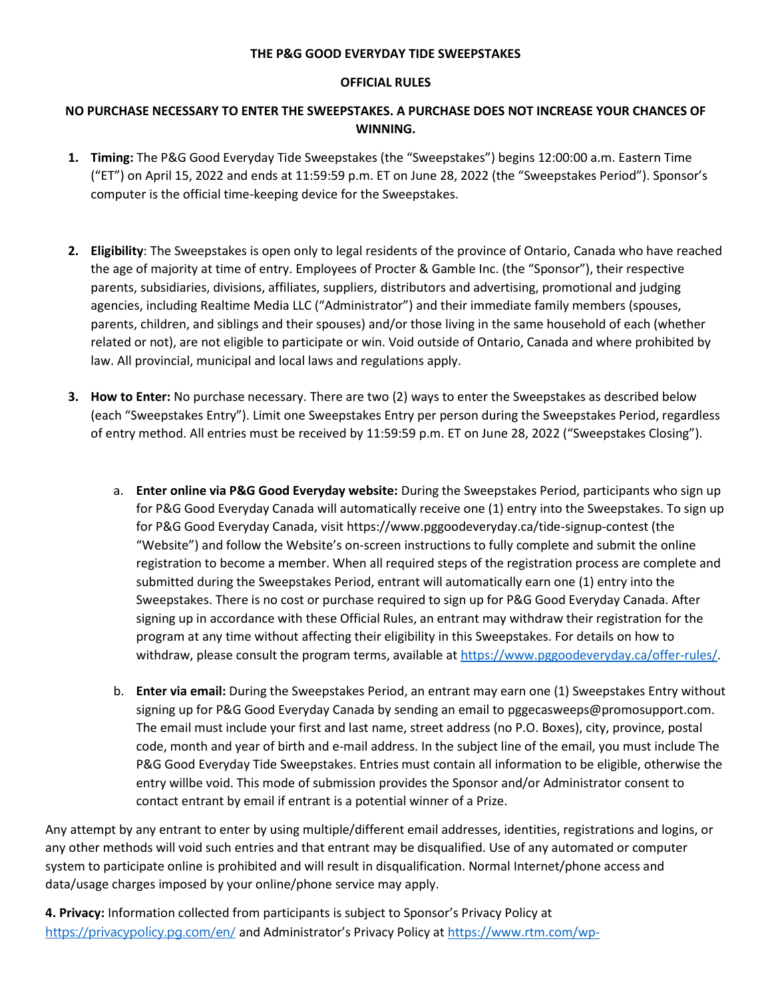## **THE P&G GOOD EVERYDAY TIDE SWEEPSTAKES**

## **OFFICIAL RULES**

## **NO PURCHASE NECESSARY TO ENTER THE SWEEPSTAKES. A PURCHASE DOES NOT INCREASE YOUR CHANCES OF WINNING.**

- **1. Timing:** The P&G Good Everyday Tide Sweepstakes (the "Sweepstakes") begins 12:00:00 a.m. Eastern Time ("ET") on April 15, 2022 and ends at 11:59:59 p.m. ET on June 28, 2022 (the "Sweepstakes Period"). Sponsor's computer is the official time-keeping device for the Sweepstakes.
- **2. Eligibility**: The Sweepstakes is open only to legal residents of the province of Ontario, Canada who have reached the age of majority at time of entry. Employees of Procter & Gamble Inc. (the "Sponsor"), their respective parents, subsidiaries, divisions, affiliates, suppliers, distributors and advertising, promotional and judging agencies, including Realtime Media LLC ("Administrator") and their immediate family members (spouses, parents, children, and siblings and their spouses) and/or those living in the same household of each (whether related or not), are not eligible to participate or win. Void outside of Ontario, Canada and where prohibited by law. All provincial, municipal and local laws and regulations apply.
- **3. How to Enter:** No purchase necessary. There are two (2) ways to enter the Sweepstakes as described below (each "Sweepstakes Entry"). Limit one Sweepstakes Entry per person during the Sweepstakes Period, regardless of entry method. All entries must be received by 11:59:59 p.m. ET on June 28, 2022 ("Sweepstakes Closing").
	- a. **Enter online via P&G Good Everyday website:** During the Sweepstakes Period, participants who sign up for P&G Good Everyday Canada will automatically receive one (1) entry into the Sweepstakes. To sign up for P&G Good Everyday Canada, visit https://www.pggoodeveryday.ca/tide-signup-contest (the "Website") and follow the Website's on-screen instructions to fully complete and submit the online registration to become a member. When all required steps of the registration process are complete and submitted during the Sweepstakes Period, entrant will automatically earn one (1) entry into the Sweepstakes. There is no cost or purchase required to sign up for P&G Good Everyday Canada. After signing up in accordance with these Official Rules, an entrant may withdraw their registration for the program at any time without affecting their eligibility in this Sweepstakes. For details on how to withdraw, please consult the program terms, available at [https://www.pggoodeveryday.ca/offer-rules/.](https://www.pggoodeveryday.ca/offer-rules/)
	- b. **Enter via email:** During the Sweepstakes Period, an entrant may earn one (1) Sweepstakes Entry without signing up for P&G Good Everyday Canada by sending an email to pggecasweeps@promosupport.com. The email must include your first and last name, street address (no P.O. Boxes), city, province, postal code, month and year of birth and e-mail address. In the subject line of the email, you must include The P&G Good Everyday Tide Sweepstakes. Entries must contain all information to be eligible, otherwise the entry willbe void. This mode of submission provides the Sponsor and/or Administrator consent to contact entrant by email if entrant is a potential winner of a Prize.

Any attempt by any entrant to enter by using multiple/different email addresses, identities, registrations and logins, or any other methods will void such entries and that entrant may be disqualified. Use of any automated or computer system to participate online is prohibited and will result in disqualification. Normal Internet/phone access and data/usage charges imposed by your online/phone service may apply.

**4. Privacy:** Information collected from participants is subject to Sponsor's Privacy Policy at <https://privacypolicy.pg.com/en/> and Administrator's Privacy Policy at [https://www.rtm.com/wp-](https://www.rtm.com/wp-content/uploads/2018/07/privacypolicy.pdf)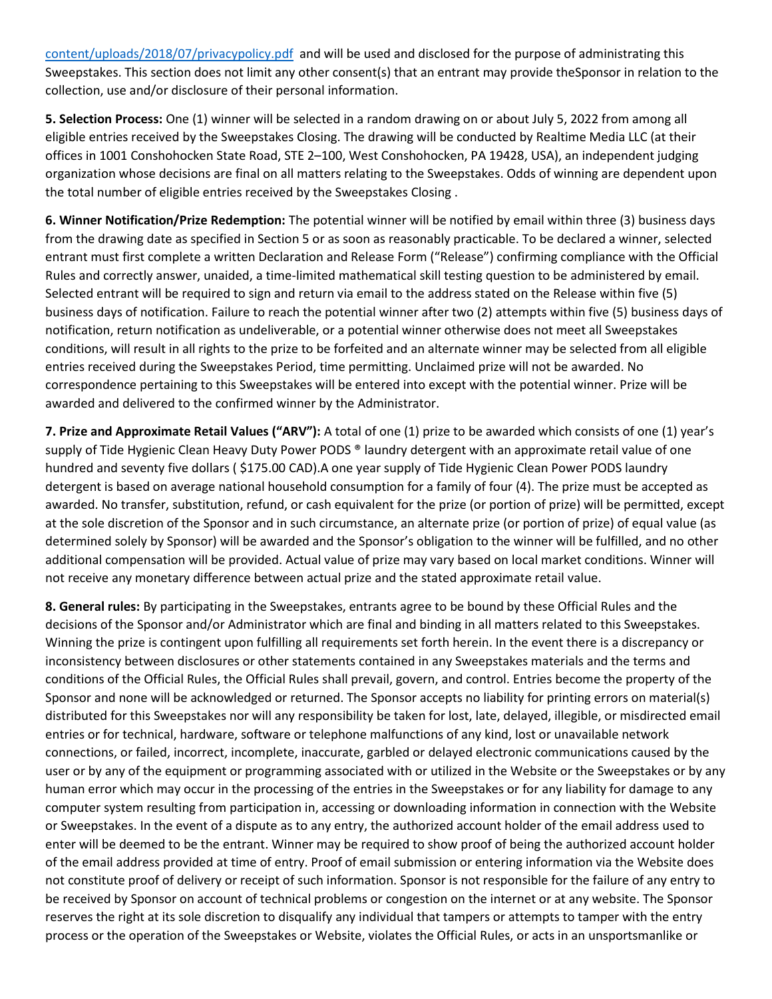[content/uploads/2018/07/privacypolicy.pdf](https://www.rtm.com/wp-content/uploads/2018/07/privacypolicy.pdf) and will be used and disclosed for the purpose of administrating this Sweepstakes. This section does not limit any other consent(s) that an entrant may provide theSponsor in relation to the collection, use and/or disclosure of their personal information.

**5. Selection Process:** One (1) winner will be selected in a random drawing on or about July 5, 2022 from among all eligible entries received by the Sweepstakes Closing. The drawing will be conducted by Realtime Media LLC (at their offices in 1001 Conshohocken State Road, STE 2–100, West Conshohocken, PA 19428, USA), an independent judging organization whose decisions are final on all matters relating to the Sweepstakes. Odds of winning are dependent upon the total number of eligible entries received by the Sweepstakes Closing .

**6. Winner Notification/Prize Redemption:** The potential winner will be notified by email within three (3) business days from the drawing date as specified in Section 5 or as soon as reasonably practicable. To be declared a winner, selected entrant must first complete a written Declaration and Release Form ("Release") confirming compliance with the Official Rules and correctly answer, unaided, a time-limited mathematical skill testing question to be administered by email. Selected entrant will be required to sign and return via email to the address stated on the Release within five (5) business days of notification. Failure to reach the potential winner after two (2) attempts within five (5) business days of notification, return notification as undeliverable, or a potential winner otherwise does not meet all Sweepstakes conditions, will result in all rights to the prize to be forfeited and an alternate winner may be selected from all eligible entries received during the Sweepstakes Period, time permitting. Unclaimed prize will not be awarded. No correspondence pertaining to this Sweepstakes will be entered into except with the potential winner. Prize will be awarded and delivered to the confirmed winner by the Administrator.

**7. Prize and Approximate Retail Values ("ARV"):** A total of one (1) prize to be awarded which consists of one (1) year's supply of Tide Hygienic Clean Heavy Duty Power PODS ® laundry detergent with an approximate retail value of one hundred and seventy five dollars ( \$175.00 CAD).A one year supply of Tide Hygienic Clean Power PODS laundry detergent is based on average national household consumption for a family of four (4). The prize must be accepted as awarded. No transfer, substitution, refund, or cash equivalent for the prize (or portion of prize) will be permitted, except at the sole discretion of the Sponsor and in such circumstance, an alternate prize (or portion of prize) of equal value (as determined solely by Sponsor) will be awarded and the Sponsor's obligation to the winner will be fulfilled, and no other additional compensation will be provided. Actual value of prize may vary based on local market conditions. Winner will not receive any monetary difference between actual prize and the stated approximate retail value.

**8. General rules:** By participating in the Sweepstakes, entrants agree to be bound by these Official Rules and the decisions of the Sponsor and/or Administrator which are final and binding in all matters related to this Sweepstakes. Winning the prize is contingent upon fulfilling all requirements set forth herein. In the event there is a discrepancy or inconsistency between disclosures or other statements contained in any Sweepstakes materials and the terms and conditions of the Official Rules, the Official Rules shall prevail, govern, and control. Entries become the property of the Sponsor and none will be acknowledged or returned. The Sponsor accepts no liability for printing errors on material(s) distributed for this Sweepstakes nor will any responsibility be taken for lost, late, delayed, illegible, or misdirected email entries or for technical, hardware, software or telephone malfunctions of any kind, lost or unavailable network connections, or failed, incorrect, incomplete, inaccurate, garbled or delayed electronic communications caused by the user or by any of the equipment or programming associated with or utilized in the Website or the Sweepstakes or by any human error which may occur in the processing of the entries in the Sweepstakes or for any liability for damage to any computer system resulting from participation in, accessing or downloading information in connection with the Website or Sweepstakes. In the event of a dispute as to any entry, the authorized account holder of the email address used to enter will be deemed to be the entrant. Winner may be required to show proof of being the authorized account holder of the email address provided at time of entry. Proof of email submission or entering information via the Website does not constitute proof of delivery or receipt of such information. Sponsor is not responsible for the failure of any entry to be received by Sponsor on account of technical problems or congestion on the internet or at any website. The Sponsor reserves the right at its sole discretion to disqualify any individual that tampers or attempts to tamper with the entry process or the operation of the Sweepstakes or Website, violates the Official Rules, or acts in an unsportsmanlike or